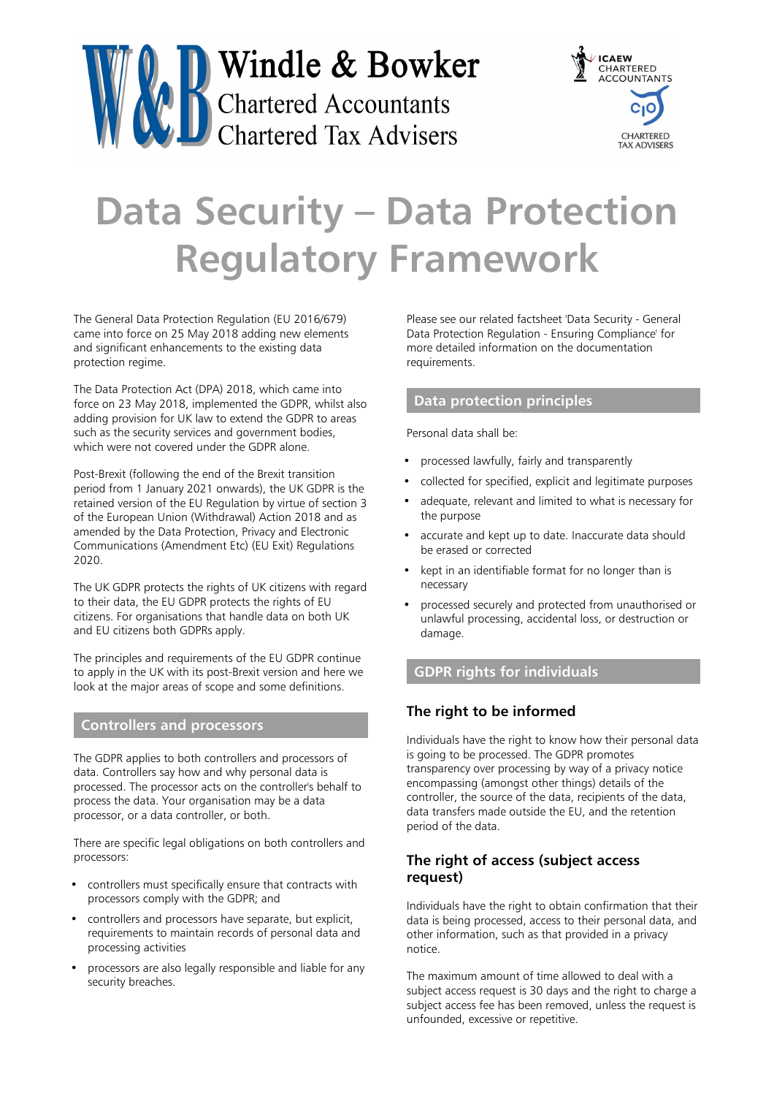



# **Data Security – Data Protection Regulatory Framework**

The General Data Protection Regulation (EU 2016/679) came into force on 25 May 2018 adding new elements and significant enhancements to the existing data protection regime.

The Data Protection Act (DPA) 2018, which came into force on 23 May 2018, implemented the GDPR, whilst also adding provision for UK law to extend the GDPR to areas such as the security services and government bodies, which were not covered under the GDPR alone.

Post-Brexit (following the end of the Brexit transition period from 1 January 2021 onwards), the UK GDPR is the retained version of the EU Regulation by virtue of section 3 of the European Union (Withdrawal) Action 2018 and as amended by the Data Protection, Privacy and Electronic Communications (Amendment Etc) (EU Exit) Regulations 2020.

The UK GDPR protects the rights of UK citizens with regard to their data, the EU GDPR protects the rights of EU citizens. For organisations that handle data on both UK and EU citizens both GDPRs apply.

The principles and requirements of the EU GDPR continue to apply in the UK with its post-Brexit version and here we look at the major areas of scope and some definitions.

#### **Controllers and processors**

The GDPR applies to both controllers and processors of data. Controllers say how and why personal data is processed. The processor acts on the controller's behalf to process the data. Your organisation may be a data processor, or a data controller, or both.

There are specific legal obligations on both controllers and processors:

- controllers must specifically ensure that contracts with processors comply with the GDPR; and
- controllers and processors have separate, but explicit, requirements to maintain records of personal data and processing activities
- processors are also legally responsible and liable for any security breaches.

Please see our related factsheet 'Data Security - General Data Protection Regulation - Ensuring Compliance' for more detailed information on the documentation requirements.

#### **Data protection principles**

Personal data shall be:

- processed lawfully, fairly and transparently
- collected for specified, explicit and legitimate purposes
- adequate, relevant and limited to what is necessary for the purpose
- accurate and kept up to date. Inaccurate data should be erased or corrected
- kept in an identifiable format for no longer than is necessary
- processed securely and protected from unauthorised or unlawful processing, accidental loss, or destruction or damage.

# **GDPR rights for individuals**

### **The right to be informed**

Individuals have the right to know how their personal data is going to be processed. The GDPR promotes transparency over processing by way of a privacy notice encompassing (amongst other things) details of the controller, the source of the data, recipients of the data, data transfers made outside the EU, and the retention period of the data.

### **The right of access (subject access request)**

Individuals have the right to obtain confirmation that their data is being processed, access to their personal data, and other information, such as that provided in a privacy notice.

The maximum amount of time allowed to deal with a subject access request is 30 days and the right to charge a subject access fee has been removed, unless the request is unfounded, excessive or repetitive.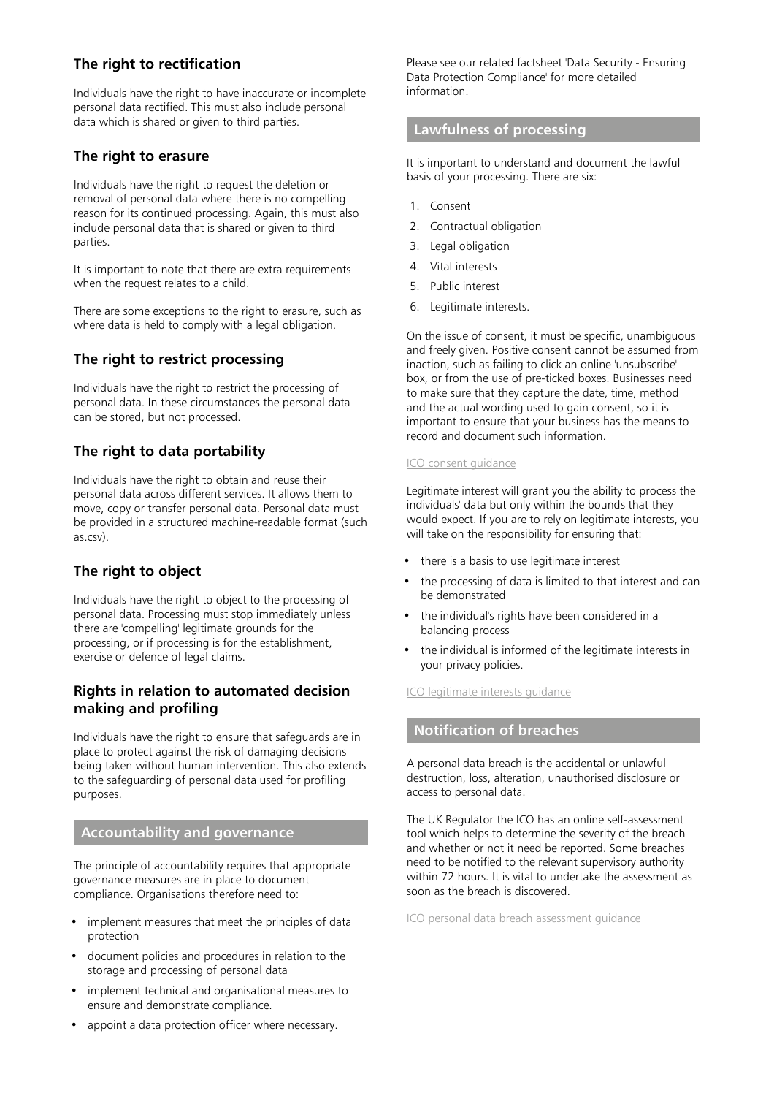#### **The right to rectification**

Individuals have the right to have inaccurate or incomplete personal data rectified. This must also include personal data which is shared or given to third parties.

#### **The right to erasure**

Individuals have the right to request the deletion or removal of personal data where there is no compelling reason for its continued processing. Again, this must also include personal data that is shared or given to third parties.

It is important to note that there are extra requirements when the request relates to a child.

There are some exceptions to the right to erasure, such as where data is held to comply with a legal obligation.

#### **The right to restrict processing**

Individuals have the right to restrict the processing of personal data. In these circumstances the personal data can be stored, but not processed.

#### **The right to data portability**

Individuals have the right to obtain and reuse their personal data across different services. It allows them to move, copy or transfer personal data. Personal data must be provided in a structured machine-readable format (such as.csv).

#### **The right to object**

Individuals have the right to object to the processing of personal data. Processing must stop immediately unless there are 'compelling' legitimate grounds for the processing, or if processing is for the establishment, exercise or defence of legal claims.

#### **Rights in relation to automated decision making and profiling**

Individuals have the right to ensure that safeguards are in place to protect against the risk of damaging decisions being taken without human intervention. This also extends to the safeguarding of personal data used for profiling purposes.

#### **Accountability and governance**

The principle of accountability requires that appropriate governance measures are in place to document compliance. Organisations therefore need to:

- implement measures that meet the principles of data protection
- document policies and procedures in relation to the storage and processing of personal data
- implement technical and organisational measures to ensure and demonstrate compliance.
- appoint a data protection officer where necessary.

Please see our related factsheet 'Data Security - Ensuring Data Protection Compliance' for more detailed information.

## **Lawfulness of processing**

It is important to understand and document the lawful basis of your processing. There are six:

- 1. Consent
- 2. Contractual obligation
- 3. Legal obligation
- 4. Vital interests
- 5. Public interest
- 6. Legitimate interests.

On the issue of consent, it must be specific, unambiguous and freely given. Positive consent cannot be assumed from inaction, such as failing to click an online 'unsubscribe' box, or from the use of pre-ticked boxes. Businesses need to make sure that they capture the date, time, method and the actual wording used to gain consent, so it is important to ensure that your business has the means to record and document such information.

#### [ICO consent guidance](https://ico.org.uk/for-organisations/guide-to-data-protection/guide-to-the-general-data-protection-regulation-gdpr/lawful-basis-for-processing/consent/)

Legitimate interest will grant you the ability to process the individuals' data but only within the bounds that they would expect. If you are to rely on legitimate interests, you will take on the responsibility for ensuring that:

- there is a basis to use legitimate interest
- the processing of data is limited to that interest and can be demonstrated
- the individual's rights have been considered in a balancing process
- the individual is informed of the legitimate interests in your privacy policies.

#### [ICO legitimate interests guidance](https://ico.org.uk/for-organisations/guide-to-data-protection/guide-to-the-general-data-protection-regulation-gdpr/lawful-basis-for-processing/legitimate-interests/)

#### **Notification of breaches**

A personal data breach is the accidental or unlawful destruction, loss, alteration, unauthorised disclosure or access to personal data.

The UK Regulator the ICO has an online self-assessment tool which helps to determine the severity of the breach and whether or not it need be reported. Some breaches need to be notified to the relevant supervisory authority within 72 hours. It is vital to undertake the assessment as soon as the breach is discovered.

[ICO personal data breach assessment guidance](https://ico.org.uk/for-organisations/report-a-breach/personal-data-breach-assessment/)